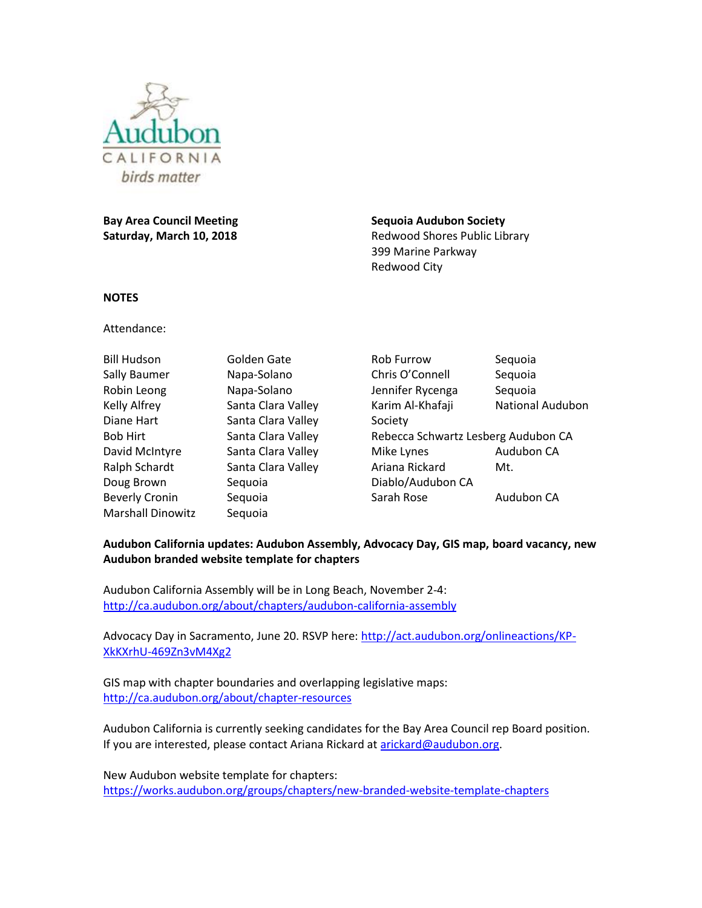

**Bay Area Council Meeting Saturday, March 10, 2018**

**Sequoia Audubon Society**  Redwood Shores Public Library 399 Marine Parkway Redwood City

## **NOTES**

Attendance:

| <b>Bill Hudson</b>       | Golden Gate        |
|--------------------------|--------------------|
| Sally Baumer             | Napa-Solano        |
| Robin Leong              | Napa-Solano        |
| Kelly Alfrey             | Santa Clara Valley |
| Diane Hart               | Santa Clara Valley |
| Bob Hirt                 | Santa Clara Valley |
| David McIntyre           | Santa Clara Valley |
| Ralph Schardt            | Santa Clara Valley |
| Doug Brown               | Sequoia            |
| <b>Beverly Cronin</b>    | Sequoia            |
| <b>Marshall Dinowitz</b> | Seguoia            |

Rob Furrow Sequoia Chris O'Connell Sequoia Jennifer Rycenga Sequoia Karim Al-Khafaji National Audubon Society Rebecca Schwartz Lesberg Audubon CA Mike Lynes **Audubon CA** Ariana Rickard Mt. Diablo/Audubon CA Sarah Rose **Audubon CA** 

## **Audubon California updates: Audubon Assembly, Advocacy Day, GIS map, board vacancy, new Audubon branded website template for chapters**

Audubon California Assembly will be in Long Beach, November 2-4: <http://ca.audubon.org/about/chapters/audubon-california-assembly>

Advocacy Day in Sacramento, June 20. RSVP here: [http://act.audubon.org/onlineactions/KP-](http://act.audubon.org/onlineactions/KP-XkKXrhU-469Zn3vM4Xg2)[XkKXrhU-469Zn3vM4Xg2](http://act.audubon.org/onlineactions/KP-XkKXrhU-469Zn3vM4Xg2)

GIS map with chapter boundaries and overlapping legislative maps: <http://ca.audubon.org/about/chapter-resources>

Audubon California is currently seeking candidates for the Bay Area Council rep Board position. If you are interested, please contact Ariana Rickard at [arickard@audubon.org.](mailto:arickard@audubon.org)

New Audubon website template for chapters: <https://works.audubon.org/groups/chapters/new-branded-website-template-chapters>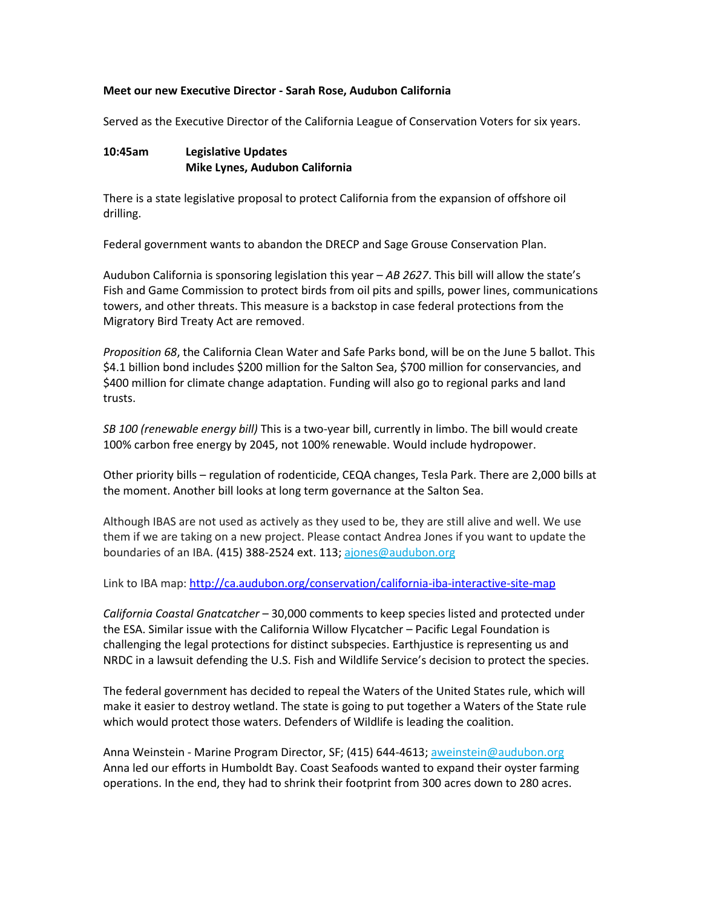### **Meet our new Executive Director - Sarah Rose, Audubon California**

Served as the Executive Director of the California League of Conservation Voters for six years.

# **10:45am Legislative Updates Mike Lynes, Audubon California**

There is a state legislative proposal to protect California from the expansion of offshore oil drilling.

Federal government wants to abandon the DRECP and Sage Grouse Conservation Plan.

Audubon California is sponsoring legislation this year – *AB 2627*. This bill will allow the state's Fish and Game Commission to protect birds from oil pits and spills, power lines, communications towers, and other threats. This measure is a backstop in case federal protections from the Migratory Bird Treaty Act are removed.

*Proposition 68*, the California Clean Water and Safe Parks bond, will be on the June 5 ballot. This \$4.1 billion bond includes \$200 million for the Salton Sea, \$700 million for conservancies, and \$400 million for climate change adaptation. Funding will also go to regional parks and land trusts.

*SB 100 (renewable energy bill)* This is a two-year bill, currently in limbo. The bill would create 100% carbon free energy by 2045, not 100% renewable. Would include hydropower.

Other priority bills – regulation of rodenticide, CEQA changes, Tesla Park. There are 2,000 bills at the moment. Another bill looks at long term governance at the Salton Sea.

Although IBAS are not used as actively as they used to be, they are still alive and well. We use them if we are taking on a new project. Please contact Andrea Jones if you want to update the boundaries of an IBA. (415) 388-2524 ext. 113; [ajones@audubon.org](mailto:ajones@audubon.org)

Link to IBA map:<http://ca.audubon.org/conservation/california-iba-interactive-site-map>

*California Coastal Gnatcatcher* – 30,000 comments to keep species listed and protected under the ESA. Similar issue with the California Willow Flycatcher – Pacific Legal Foundation is challenging the legal protections for distinct subspecies. Earthjustice is representing us and NRDC in a lawsuit defending the U.S. Fish and Wildlife Service's decision to protect the species.

The federal government has decided to repeal the Waters of the United States rule, which will make it easier to destroy wetland. The state is going to put together a Waters of the State rule which would protect those waters. Defenders of Wildlife is leading the coalition.

Anna Weinstein - Marine Program Director, SF; (415) 644-4613; [aweinstein@audubon.org](mailto:aweinstein@audubon.org) Anna led our efforts in Humboldt Bay. Coast Seafoods wanted to expand their oyster farming operations. In the end, they had to shrink their footprint from 300 acres down to 280 acres.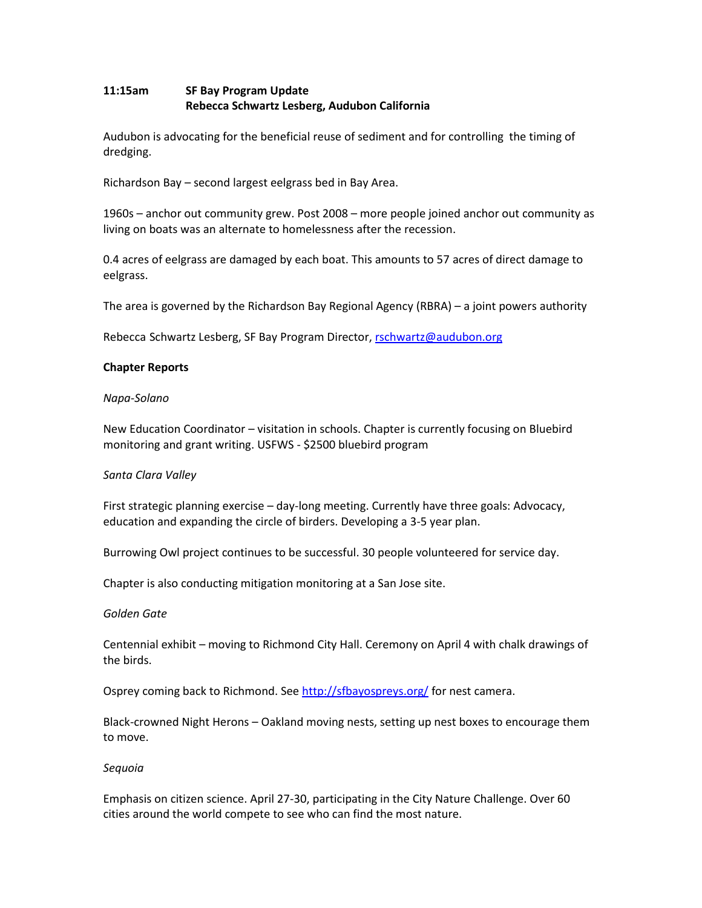# **11:15am SF Bay Program Update Rebecca Schwartz Lesberg, Audubon California**

Audubon is advocating for the beneficial reuse of sediment and for controlling the timing of dredging.

Richardson Bay – second largest eelgrass bed in Bay Area.

1960s – anchor out community grew. Post 2008 – more people joined anchor out community as living on boats was an alternate to homelessness after the recession.

0.4 acres of eelgrass are damaged by each boat. This amounts to 57 acres of direct damage to eelgrass.

The area is governed by the Richardson Bay Regional Agency (RBRA) – a joint powers authority

Rebecca Schwartz Lesberg, SF Bay Program Director, [rschwartz@audubon.org](mailto:rschwartz@audubon.org)

### **Chapter Reports**

### *Napa-Solano*

New Education Coordinator – visitation in schools. Chapter is currently focusing on Bluebird monitoring and grant writing. USFWS - \$2500 bluebird program

#### *Santa Clara Valley*

First strategic planning exercise – day-long meeting. Currently have three goals: Advocacy, education and expanding the circle of birders. Developing a 3-5 year plan.

Burrowing Owl project continues to be successful. 30 people volunteered for service day.

Chapter is also conducting mitigation monitoring at a San Jose site.

#### *Golden Gate*

Centennial exhibit – moving to Richmond City Hall. Ceremony on April 4 with chalk drawings of the birds.

Osprey coming back to Richmond. See<http://sfbayospreys.org/> for nest camera.

Black-crowned Night Herons – Oakland moving nests, setting up nest boxes to encourage them to move.

#### *Sequoia*

Emphasis on citizen science. April 27-30, participating in the City Nature Challenge. Over 60 cities around the world compete to see who can find the most nature.